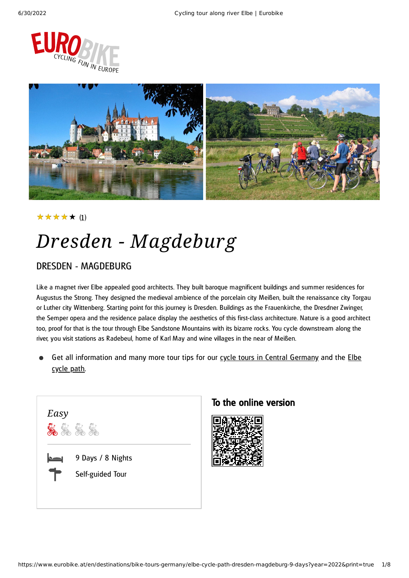



### (1) ★★★★★

# *Dresden - Magdeburg*

### DRESDEN - MAGDEBURG

Like a magnet river Elbe appealed good architects. They built baroque magnificent buildings and summer residences for Augustus the Strong. They designed the medieval ambience of the porcelain city Meißen, built the renaissance city Torgau or Luther city Wittenberg. Starting point for this journey is Dresden. Buildings as the Frauenkirche, the Dresdner Zwinger, the Semper opera and the residence palace display the aesthetics of this first-class architecture. Nature is a good architect too, proof for that is the tour through Elbe Sandstone Mountains with its bizarre rocks. You cycle downstream along the river, you visit stations as Radebeul, home of Karl May and wine villages in the near of Meißen.

Get all [information](https://www.eurobike.at/en/cycle-paths/elbe-cycle-path) and many more tour tips for our cycle tours in Central [Germany](https://www.eurobike.at/en/destinations/bike-tours-germany/central-germany) and the Elbe cycle path.



### To the online version

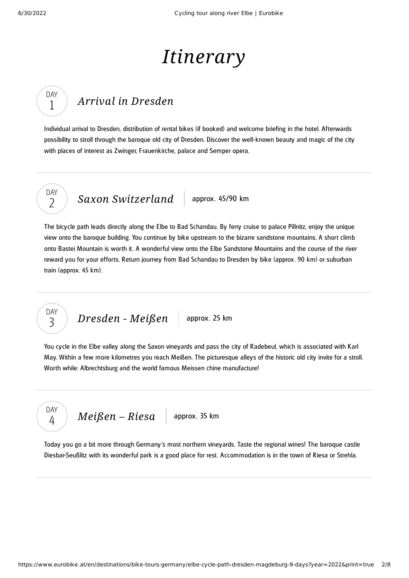# *Itinerary*

### *Arrival in [Dresden](#page-1-0)*

<span id="page-1-0"></span>Individual arrival to Dresden, distribution of rental bikes (if booked) and welcome briefing in the hotel. Afterwards possibility to stroll through the baroque old city of Dresden. Discover the well-known beauty and magic of the city with places of interest as Zwinger, Frauenkirche, palace and Semper opera.



DAY 1

*Saxon [Switzerland](#page-1-1)* approx. 45/90 km

<span id="page-1-1"></span>The bicycle path leads directly along the Elbe to Bad Schandau. By ferry cruise to palace Pillnitz, enjoy the unique view onto the baroque building. You continue by bike upstream to the bizarre sandstone mountains. A short climb onto Bastei Mountain is worth it. A wonderful view onto the Elbe Sandstone Mountains and the course of the river reward you for your efforts. Return journey from Bad Schandau to Dresden by bike (approx. 90 km) or suburban train (approx. 45 km).

*[Dresden](#page-1-2)* - *Meißen* approx. 25 km DAY 3

<span id="page-1-2"></span>You cycle in the Elbe valley along the Saxon vineyards and pass the city of Radebeul, which is associated with Karl May. Within a few more kilometres you reach Meißen. The picturesque alleys of the historic old city invite for a stroll. Worth while: Albrechtsburg and the world famous Meissen chine manufacture!



<span id="page-1-3"></span>Today you go a bit more through Germany's most northern vineyards. Taste the regional wines! The baroque castle Diesbar-Seußlitz with its wonderful park is a good place for rest. Accommodation is in the town of Riesa or Strehla.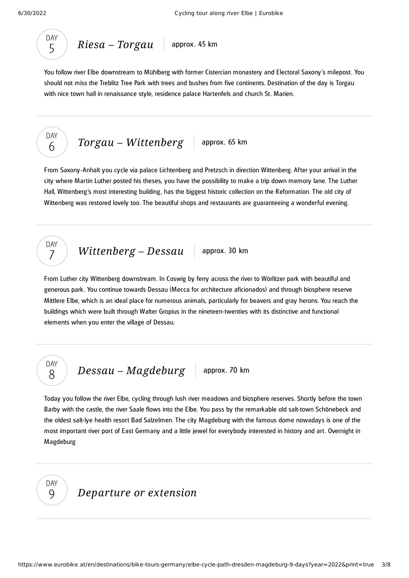$$
\begin{array}{c}\n\text{DAY} \\
5\n\end{array}\n\bigg\}\n\text{Riesa - Torgau} \quad \text{approx. 45 km}
$$

<span id="page-2-0"></span>You follow river Elbe downstream to Mühlberg with former Cistercian monastery and Electoral Saxony's milepost. You should not miss the Treblitz Tree Park with trees and bushes from five continents. Destination of the day is Torgau with nice town hall in renaissance style, residence palace Hartenfels and church St. Marien.

$$
\begin{array}{c}\n\text{DAY} \\
\text{A} \\
\text{B}\n\end{array}
$$
 *Torgau - Wittenberg approx. 65 km*

<span id="page-2-1"></span>From Saxony-Anhalt you cycle via palace Lichtenberg and Pretzsch in direction Wittenberg. After your arrival in the city where Martin Luther posted his theses, you have the possibility to make a trip down memory lane. The Luther Hall, Wittenberg's most interesting building, has the biggest historic collection on the Reformation. The old city of Wittenberg was restored lovely too. The beautiful shops and restaurants are guaranteeing a wonderful evening.

### *[Wittenberg](#page-2-2)* – *Dessau* approx. 30 km

<span id="page-2-2"></span>From Luther city Wittenberg downstream. In Coswig by ferry across the river to Wörlitzer park with beautiful and generous park . You continue towards Dessau (Mecca for architecture aficionados) and through biosphere reserve Mittlere Elbe, which is an ideal place for numerous animals, particularly for beavers and gray herons. You reach the buildings which were built through Walter Gropius in the nineteen-twenties with its distinctive and functional elements when you enter the village of Dessau.

DAY 8

6

DAY 7

*Dessau* – *[Magdeburg](#page-2-3)* approx. 70 km

<span id="page-2-3"></span>Today you follow the river Elbe, cycling through lush river meadows and biosphere reserves. Shortly before the town Barby with the castle, the river Saale flows into the Elbe. You pass by the remarkable old salt-town Schönebeck and the oldest salt-lye health resort Bad Salzelmen. The city Magdeburg with the famous dome nowadays is one of the most important river port of East Germany and a little jewel for everybody interested in history and art. Overnight in Magdeburg



*Departure or extension*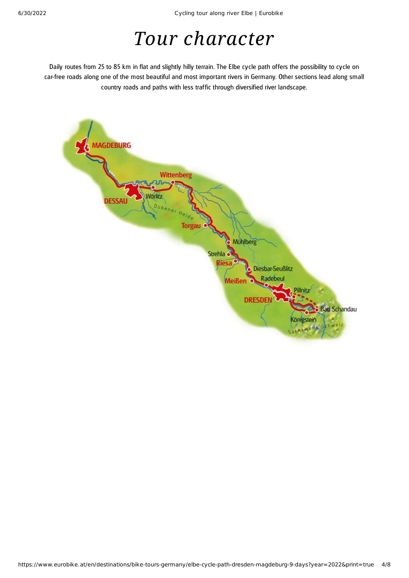## *Tour character*

Daily routes from 25 to 85 km in flat and slightly hilly terrain. The Elbe cycle path offers the possibility to cycle on car-free roads along one of the most beautiful and most important rivers in Germany. Other sections lead along small country roads and paths with less traffic through diversified river landscape.

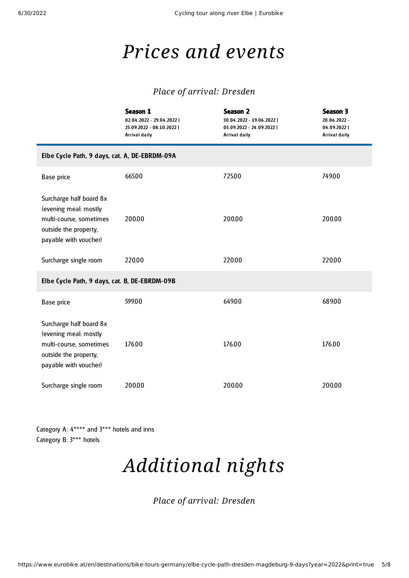## *Prices and events*

### *Place of arrival: Dresden*

|                                                                                                                               | <b>Season 1</b><br>02.04.2022 - 29.04.2022  <br>25.09.2022 - 08.10.2022  <br><b>Arrival daily</b> | <b>Season 2</b><br>30.04.2022 - 19.06.2022  <br>05.09.2022 - 24.09.2022  <br><b>Arrival daily</b> | Season 3<br>20.06.2022 -<br>04.09.2022  <br>Arrival daily |  |  |
|-------------------------------------------------------------------------------------------------------------------------------|---------------------------------------------------------------------------------------------------|---------------------------------------------------------------------------------------------------|-----------------------------------------------------------|--|--|
| Elbe Cycle Path, 9 days, cat. A, DE-EBRDM-09A                                                                                 |                                                                                                   |                                                                                                   |                                                           |  |  |
| <b>Base price</b>                                                                                                             | 665.00                                                                                            | 725.00                                                                                            | 749.00                                                    |  |  |
| Surcharge half board 8x<br>(evening meal: mostly<br>multi-course, sometimes<br>outside the property,<br>payable with voucher) | 200.00                                                                                            | 200.00                                                                                            | 200.00                                                    |  |  |
| Surcharge single room                                                                                                         | 220.00                                                                                            | 220.00                                                                                            | 220.00                                                    |  |  |
|                                                                                                                               | Elbe Cycle Path, 9 days, cat. B, DE-EBRDM-09B                                                     |                                                                                                   |                                                           |  |  |
| <b>Base price</b>                                                                                                             | 599.00                                                                                            | 649.00                                                                                            | 689.00                                                    |  |  |
| Surcharge half board 8x<br>(evening meal: mostly<br>multi-course, sometimes<br>outside the property,<br>payable with voucher) | 176.00                                                                                            | 176.00                                                                                            | 176.00                                                    |  |  |
| Surcharge single room                                                                                                         | 200.00                                                                                            | 200.00                                                                                            | 200.00                                                    |  |  |

Category A:  $4***$  and  $3***$  hotels and inns Category B: 3\*\*\* hotels

# *Additional nights*

*Place of arrival: Dresden*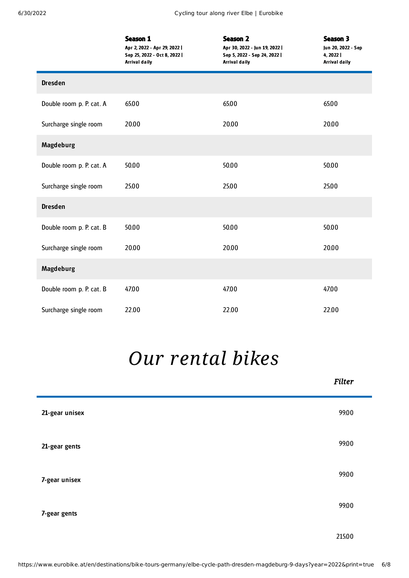|                          | Season 1<br>Apr 2, 2022 - Apr 29, 2022  <br>Sep 25, 2022 - Oct 8, 2022  <br><b>Arrival daily</b> | <b>Season 2</b><br>Apr 30, 2022 - Jun 19, 2022  <br>Sep 5, 2022 - Sep 24, 2022  <br><b>Arrival daily</b> | <b>Season 3</b><br>Jun 20, 2022 - Sep<br>4, 2022  <br>Arrival daily |
|--------------------------|--------------------------------------------------------------------------------------------------|----------------------------------------------------------------------------------------------------------|---------------------------------------------------------------------|
| <b>Dresden</b>           |                                                                                                  |                                                                                                          |                                                                     |
| Double room p. P. cat. A | 65.00                                                                                            | 65.00                                                                                                    | 65.00                                                               |
| Surcharge single room    | 20.00                                                                                            | 20.00                                                                                                    | 20.00                                                               |
| Magdeburg                |                                                                                                  |                                                                                                          |                                                                     |
| Double room p. P. cat. A | 50.00                                                                                            | 50.00                                                                                                    | 50.00                                                               |
| Surcharge single room    | 25.00                                                                                            | 25.00                                                                                                    | 25.00                                                               |
| <b>Dresden</b>           |                                                                                                  |                                                                                                          |                                                                     |
| Double room p. P. cat. B | 50.00                                                                                            | 50.00                                                                                                    | 50.00                                                               |
| Surcharge single room    | 20.00                                                                                            | 20.00                                                                                                    | 20.00                                                               |
| Magdeburg                |                                                                                                  |                                                                                                          |                                                                     |
| Double room p. P. cat. B | 47.00                                                                                            | 47.00                                                                                                    | 47.00                                                               |
| Surcharge single room    | 22.00                                                                                            | 22.00                                                                                                    | 22.00                                                               |

## *Our [rental](#page-5-0) bikes*

<span id="page-5-0"></span>

|                | <b>Filter</b> |
|----------------|---------------|
| 21-gear unisex | 99.00         |
| 21-gear gents  | 99.00         |
| 7-gear unisex  | 99.00         |
| 7-gear gents   | 99.00         |
|                | 215.00        |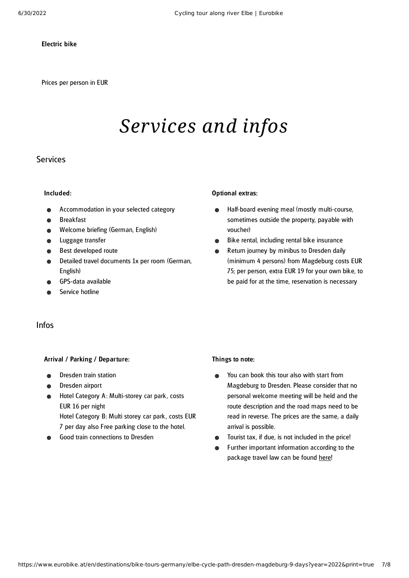#### Electric bike

Prices per person in EUR

## *Services and infos*

### **Services**

#### Included:

- Accommodation in your selected category
- Breakfast
- Welcome briefing (German, English)
- Luggage transfer
- Best developed route
- Detailed travel documents 1x per room (German, English)
- GPS-data available
- Service hotline

#### Optional extras:

- Half-board evening meal (mostly multi-course,  $\bullet$ sometimes outside the property, payable with voucher)
- Bike rental, including rental bike insurance  $\bullet$
- Return journey by minibus to Dresden daily  $\bullet$ (minimum 4 persons) from Magdeburg costs EUR 75; per person, extra EUR 19 for your own bike, to be paid for at the time, reservation is necessary

### Infos

#### Arrival / Parking / Departure:

- Dresden train station
- Dresden airport
- Hotel Category A: Multi-storey car park, costs EUR 16 per night Hotel Category B: Multi storey car park , costs EUR

7 per day also Free parking close to the hotel.

Good train connections to Dresden

#### Things to note:

- You can book this tour also with start from Magdeburg to Dresden. Please consider that no personal welcome meeting will be held and the route description and the road maps need to be read in reverse. The prices are the same, a daily arrival is possible.
- Tourist tax, if due, is not included in the price!
- Further important information according to the  $\bullet$ package travel law can be found [here](https://www.eurobike.at/en/travel-information/before-the-tour/pci)!